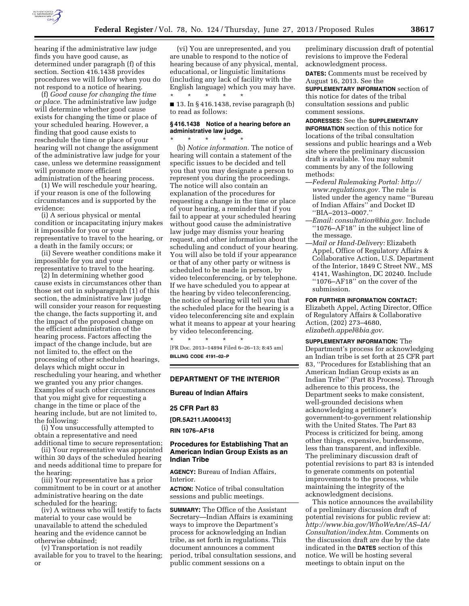

hearing if the administrative law judge finds you have good cause, as determined under paragraph (f) of this section. Section 416.1438 provides procedures we will follow when you do not respond to a notice of hearing.

(f) *Good cause for changing the time or place.* The administrative law judge will determine whether good cause exists for changing the time or place of your scheduled hearing. However, a finding that good cause exists to reschedule the time or place of your hearing will not change the assignment of the administrative law judge for your case, unless we determine reassignment will promote more efficient administration of the hearing process.

(1) We will reschedule your hearing, if your reason is one of the following circumstances and is supported by the evidence:

(i) A serious physical or mental condition or incapacitating injury makes it impossible for you or your representative to travel to the hearing, or a death in the family occurs; or

(ii) Severe weather conditions make it impossible for you and your representative to travel to the hearing.

(2) In determining whether good cause exists in circumstances other than those set out in subparagraph (1) of this section, the administrative law judge will consider your reason for requesting the change, the facts supporting it, and the impact of the proposed change on the efficient administration of the hearing process. Factors affecting the impact of the change include, but are not limited to, the effect on the processing of other scheduled hearings, delays which might occur in rescheduling your hearing, and whether we granted you any prior changes. Examples of such other circumstances that you might give for requesting a change in the time or place of the hearing include, but are not limited to, the following:

(i) You unsuccessfully attempted to obtain a representative and need additional time to secure representation;

(ii) Your representative was appointed within 30 days of the scheduled hearing and needs additional time to prepare for the hearing;

(iii) Your representative has a prior commitment to be in court or at another administrative hearing on the date scheduled for the hearing;

(iv) A witness who will testify to facts material to your case would be unavailable to attend the scheduled hearing and the evidence cannot be otherwise obtained;

(v) Transportation is not readily available for you to travel to the hearing; or

(vi) You are unrepresented, and you are unable to respond to the notice of hearing because of any physical, mental, educational, or linguistic limitations (including any lack of facility with the English language) which you may have. \* \* \* \* \*

 $\blacksquare$  13. In § 416.1438, revise paragraph (b) to read as follows:

# **§ 416.1438 Notice of a hearing before an administrative law judge.**

\* \* \* \* \* (b) *Notice information.* The notice of hearing will contain a statement of the specific issues to be decided and tell you that you may designate a person to represent you during the proceedings. The notice will also contain an explanation of the procedures for requesting a change in the time or place of your hearing, a reminder that if you fail to appear at your scheduled hearing without good cause the administrative law judge may dismiss your hearing request, and other information about the scheduling and conduct of your hearing. You will also be told if your appearance or that of any other party or witness is scheduled to be made in person, by video teleconferencing, or by telephone. If we have scheduled you to appear at the hearing by video teleconferencing, the notice of hearing will tell you that the scheduled place for the hearing is a video teleconferencing site and explain what it means to appear at your hearing by video teleconferencing.

\* \* \* \* \* [FR Doc. 2013–14894 Filed 6–26–13; 8:45 am] **BILLING CODE 4191–02–P** 

## **DEPARTMENT OF THE INTERIOR**

**Bureau of Indian Affairs** 

# **25 CFR Part 83**

**[DR.5A211.IA000413]** 

**RIN 1076–AF18** 

# **Procedures for Establishing That an American Indian Group Exists as an Indian Tribe**

**AGENCY:** Bureau of Indian Affairs, Interior.

**ACTION:** Notice of tribal consultation sessions and public meetings.

**SUMMARY:** The Office of the Assistant Secretary—Indian Affairs is examining ways to improve the Department's process for acknowledging an Indian tribe, as set forth in regulations. This document announces a comment period, tribal consultation sessions, and public comment sessions on a

preliminary discussion draft of potential revisions to improve the Federal acknowledgment process.

**DATES:** Comments must be received by August 16, 2013. See the

**SUPPLEMENTARY INFORMATION** section of this notice for dates of the tribal consultation sessions and public comment sessions.

**ADDRESSES:** See the **SUPPLEMENTARY INFORMATION** section of this notice for locations of the tribal consultation sessions and public hearings and a Web site where the preliminary discussion draft is available. You may submit comments by any of the following methods:

- —*Federal Rulemaking Portal: [http://](http://www.regulations.gov) [www.regulations.gov.](http://www.regulations.gov)* The rule is listed under the agency name ''Bureau of Indian Affairs'' and Docket ID ''BIA–2013–0007.''
- —*Email: [consultation@bia.gov.](mailto:consultation@bia.gov)* Include ''1076–AF18'' in the subject line of the message.
- —*Mail or Hand-Delivery:* Elizabeth Appel, Office of Regulatory Affairs & Collaborative Action, U.S. Department of the Interior, 1849 C Street NW., MS 4141, Washington, DC 20240. Include ''1076–AF18'' on the cover of the submission.

#### **FOR FURTHER INFORMATION CONTACT:**

Elizabeth Appel, Acting Director, Office of Regulatory Affairs & Collaborative Action, (202) 273–4680, *[elizabeth.appel@bia.gov.](mailto:elizabeth.appel@bia.gov)* 

**SUPPLEMENTARY INFORMATION:** The Department's process for acknowledging an Indian tribe is set forth at 25 CFR part 83, ''Procedures for Establishing that an American Indian Group exists as an Indian Tribe'' (Part 83 Process). Through adherence to this process, the Department seeks to make consistent, well-grounded decisions when acknowledging a petitioner's government-to-government relationship with the United States. The Part 83 Process is criticized for being, among other things, expensive, burdensome, less than transparent, and inflexible. The preliminary discussion draft of potential revisions to part 83 is intended to generate comments on potential improvements to the process, while maintaining the integrity of the acknowledgment decisions.

This notice announces the availability of a preliminary discussion draft of potential revisions for public review at: *[http://www.bia.gov/WhoWeAre/AS–IA/](http://www.bia.gov/WhoWeAre/AS-IA/Consultation/index.htm) [Consultation/index.htm.](http://www.bia.gov/WhoWeAre/AS-IA/Consultation/index.htm)* Comments on the discussion draft are due by the date indicated in the **DATES** section of this notice. We will be hosting several meetings to obtain input on the